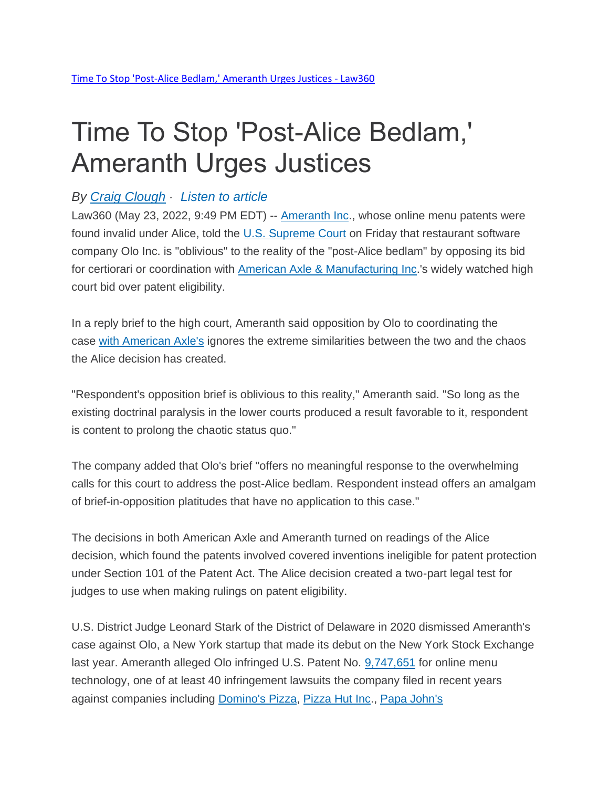## Time To Stop 'Post-Alice Bedlam,' Ameranth Urges Justices

## *By Craig [Clough](https://www.law360.com/ip/articles/1495429/-time-to-stop-post-alice-bedlam-ameranth-urges-justices) · [Listen](https://www.law360.com/ip/articles/1495429/-time-to-stop-post-alice-bedlam-ameranth-urges-justices) to article*

Law360 (May 23, 2022, 9:49 PM EDT) -- **[Ameranth Inc.](https://www.law360.com/companies/ameranth-inc)**, whose online menu patents were found invalid under Alice, told the [U.S. Supreme Court](https://www.law360.com/agencies/u-s-supreme-court) on Friday that restaurant software company Olo Inc. is "oblivious" to the reality of the "post-Alice bedlam" by opposing its bid for certiorari or coordination with [American Axle & Manufacturing Inc.](https://www.law360.com/companies/american-axle-manufacturing-holdings-inc)'s widely watched high court bid over patent eligibility.

In a reply brief to the high court, Ameranth said opposition by Olo to coordinating the case with [American](https://www.law360.com/articles/1297319) Axle's ignores the extreme similarities between the two and the chaos the Alice decision has created.

"Respondent's opposition brief is oblivious to this reality," Ameranth said. "So long as the existing doctrinal paralysis in the lower courts produced a result favorable to it, respondent is content to prolong the chaotic status quo."

The company added that Olo's brief "offers no meaningful response to the overwhelming calls for this court to address the post-Alice bedlam. Respondent instead offers an amalgam of brief-in-opposition platitudes that have no application to this case."

The decisions in both American Axle and Ameranth turned on readings of the Alice decision, which found the patents involved covered inventions ineligible for patent protection under Section 101 of the Patent Act. The Alice decision created a two-part legal test for judges to use when making rulings on patent eligibility.

U.S. District Judge Leonard Stark of the District of Delaware in 2020 dismissed Ameranth's case against Olo, a New York startup that made its debut on the New York Stock Exchange last year. Ameranth alleged Olo infringed U.S. Patent No. [9,747,651](https://www.law360.com/patents/9747651) for online menu technology, one of at least 40 infringement lawsuits the company filed in recent years against companies including [Domino's](https://www.law360.com/companies/domino-s-pizza-inc) Pizza, [Pizza Hut Inc.](https://www.law360.com/companies/pizza-hut-inc), [Papa John's](https://www.law360.com/companies/papa-john-s-international-inc)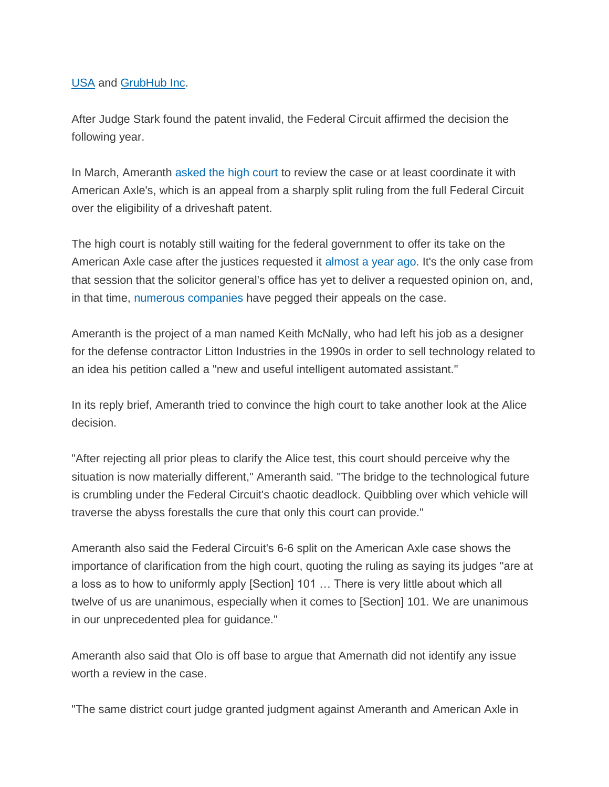## [USA](https://www.law360.com/companies/papa-john-s-international-inc) and [GrubHub Inc.](https://www.law360.com/companies/grubhub-inc)

After Judge Stark found the patent invalid, the Federal Circuit affirmed the decision the following year.

In March, Ameranth [asked](https://www.law360.com/articles/1473688/menu-tech-biz-tries-to-latch-onto-american-axle-case) the high court to review the case or at least coordinate it with American Axle's, which is an appeal from a sharply split ruling from the full Federal Circuit over the eligibility of a driveshaft patent.

The high court is notably still waiting for the federal government to offer its take on the American Axle case after the justices requested it [almost](https://www.law360.com/articles/1380789/justices-want-sg-s-take-on-american-axle-patent-fight) a year ago. It's the only case from that session that the solicitor general's office has yet to deliver a requested opinion on, and, in that time, [numerous](https://www.law360.com/articles/1463139) [companies](https://www.law360.com/articles/1427145) have pegged their appeals on the case.

Ameranth is the project of a man named Keith McNally, who had left his job as a designer for the defense contractor Litton Industries in the 1990s in order to sell technology related to an idea his petition called a "new and useful intelligent automated assistant."

In its reply brief, Ameranth tried to convince the high court to take another look at the Alice decision.

"After rejecting all prior pleas to clarify the Alice test, this court should perceive why the situation is now materially different," Ameranth said. "The bridge to the technological future is crumbling under the Federal Circuit's chaotic deadlock. Quibbling over which vehicle will traverse the abyss forestalls the cure that only this court can provide."

Ameranth also said the Federal Circuit's 6-6 split on the American Axle case shows the importance of clarification from the high court, quoting the ruling as saying its judges "are at a loss as to how to uniformly apply [Section] 101 … There is very little about which all twelve of us are unanimous, especially when it comes to [Section] 101. We are unanimous in our unprecedented plea for guidance."

Ameranth also said that Olo is off base to argue that Amernath did not identify any issue worth a review in the case.

"The same district court judge granted judgment against Ameranth and American Axle in